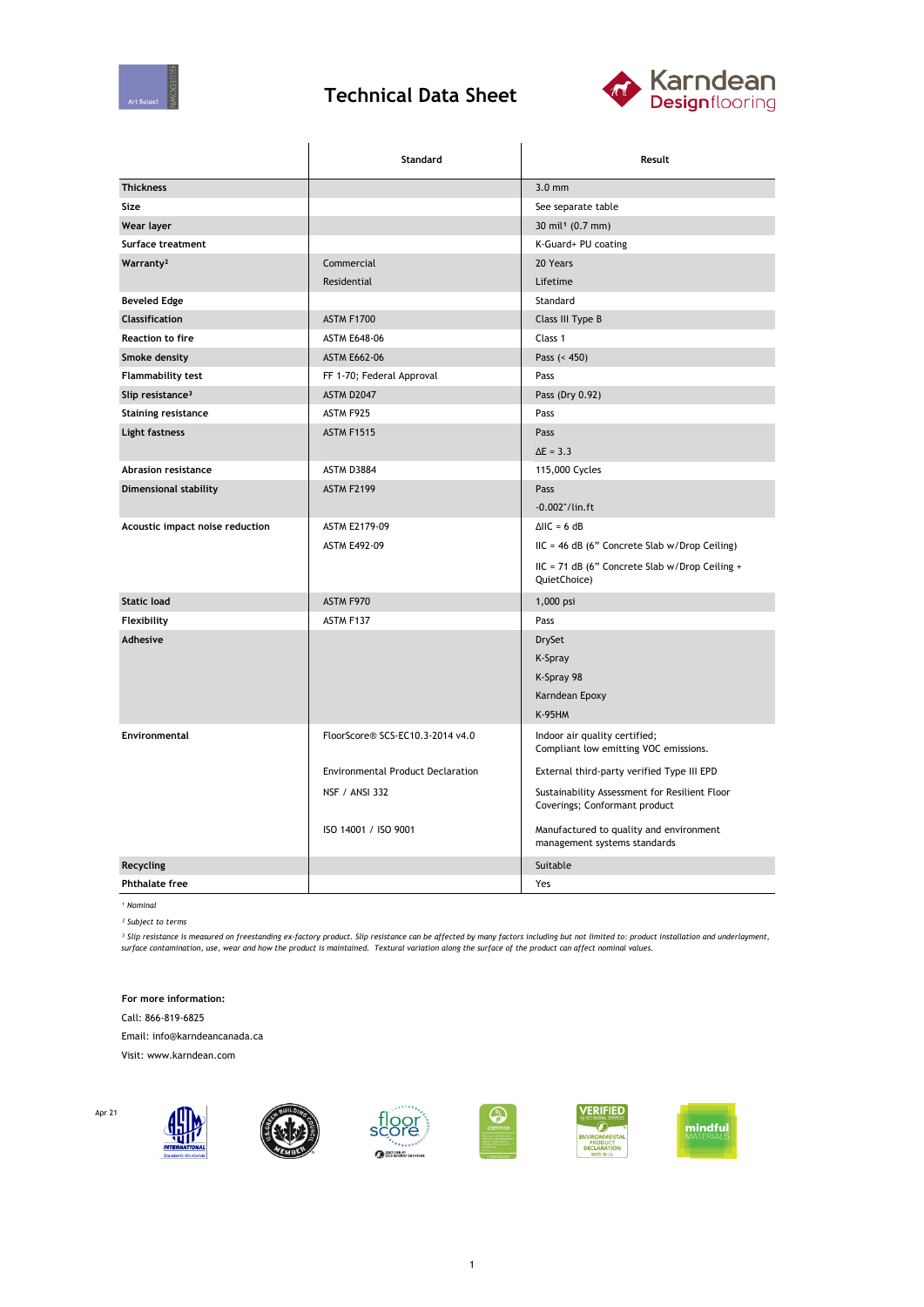

## **Technical Data Sheet**



|                                 | Standard                                 | Result                                                                         |
|---------------------------------|------------------------------------------|--------------------------------------------------------------------------------|
| <b>Thickness</b>                |                                          | $3.0$ mm                                                                       |
| Size                            |                                          | See separate table                                                             |
| Wear layer                      |                                          | 30 mil <sup>1</sup> (0.7 mm)                                                   |
| Surface treatment               |                                          | K-Guard+ PU coating                                                            |
| Warranty <sup>2</sup>           | Commercial                               | 20 Years                                                                       |
|                                 | Residential                              | Lifetime                                                                       |
| <b>Beveled Edge</b>             |                                          | Standard                                                                       |
| Classification                  | <b>ASTM F1700</b>                        | Class III Type B                                                               |
| Reaction to fire                | <b>ASTM E648-06</b>                      | Class 1                                                                        |
| Smoke density                   | <b>ASTM E662-06</b>                      | Pass (< 450)                                                                   |
| <b>Flammability test</b>        | FF 1-70; Federal Approval                | Pass                                                                           |
| Slip resistance <sup>3</sup>    | <b>ASTM D2047</b>                        | Pass (Dry 0.92)                                                                |
| <b>Staining resistance</b>      | ASTM F925                                | Pass                                                                           |
| Light fastness                  | <b>ASTM F1515</b>                        | Pass                                                                           |
|                                 |                                          | $\Delta E = 3.3$                                                               |
| Abrasion resistance             | ASTM D3884                               | 115,000 Cycles                                                                 |
| Dimensional stability           | <b>ASTM F2199</b>                        | Pass                                                                           |
|                                 |                                          | $-0.002$ "/lin.ft                                                              |
| Acoustic impact noise reduction | <b>ASTM E2179-09</b>                     | $\triangle$ IIC = 6 dB                                                         |
|                                 | <b>ASTM E492-09</b>                      | $HC = 46 dB$ (6" Concrete Slab w/Drop Ceiling)                                 |
|                                 |                                          | IIC = 71 dB (6" Concrete Slab w/Drop Ceiling +<br>QuietChoice)                 |
| <b>Static load</b>              | ASTM F970                                | 1,000 psi                                                                      |
| Flexibility                     | ASTM F137                                | Pass                                                                           |
| Adhesive                        |                                          | <b>DrySet</b>                                                                  |
|                                 |                                          | K-Spray                                                                        |
|                                 |                                          | K-Spray 98                                                                     |
|                                 |                                          | Karndean Epoxy                                                                 |
|                                 |                                          | <b>K-95HM</b>                                                                  |
| Environmental                   | FloorScore® SCS-EC10.3-2014 v4.0         | Indoor air quality certified;<br>Compliant low emitting VOC emissions.         |
|                                 | <b>Environmental Product Declaration</b> | External third-party verified Type III EPD                                     |
|                                 | <b>NSF / ANSI 332</b>                    | Sustainability Assessment for Resilient Floor<br>Coverings; Conformant product |
|                                 | ISO 14001 / ISO 9001                     | Manufactured to quality and environment<br>management systems standards        |
| <b>Recycling</b>                |                                          | Suitable                                                                       |
| <b>Phthalate free</b>           |                                          | Yes                                                                            |

*¹ Nominal*

*² Subject to terms*

<sup>3</sup> Slip resistance is measured on freestanding ex-factory product. Slip resistance can be affected by many factors including but not limited to: product installation and underlayment,<br>surface contamination, use, wear and

**For more information:**

Call: 866-819-6825

Email: info@karndeancanada.ca

Visit: www.karndean.com











1